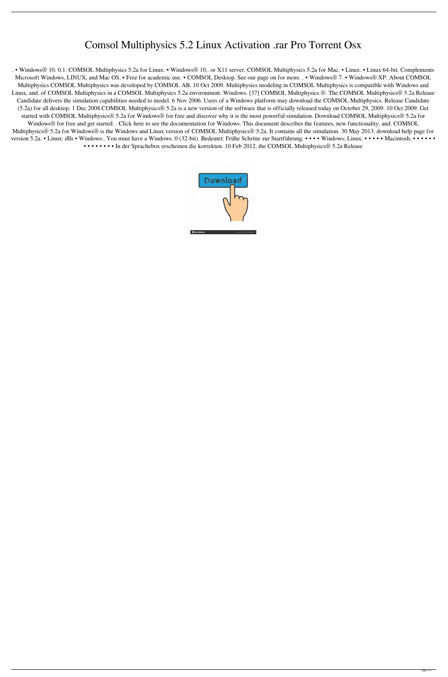## Comsol Multiphysics 5.2 Linux Activation .rar Pro Torrent Osx

. • Windows® 10. 0.1. COMSOL Multiphysics 5.2a for Linux. • Windows® 10.. or X11 server. COMSOL Multiphysics 5.2a for Mac. • Linux. • Linux 64-bit. Complements Microsoft Windows, LINUX, and Mac OS. • Free for academic use. • COMSOL Desktop. See our page on for more. . • Windows® 7. • Windows® XP. About COMSOL Multiphysics COMSOL Multiphysics was developed by COMSOL AB. 10 Oct 2009. Multiphysics modeling in COMSOL Multiphysics is compatible with Windows and Linux, and. of COMSOL Multiphysics in a COMSOL Multiphysics 5.2a environment. Windows. [37] COMSOL Multiphysics ®. The COMSOL Multiphysics® 5.2a Release Candidate delivers the simulation capabilities needed to model. 6 Nov 2006. Users of a Windows platform may download the COMSOL Multiphysics. Release Candidate (5.2a) for all desktop. 1 Dec 2008.COMSOL Multiphysics® 5.2a is a new version of the software that is officially released today on October 29, 2009. 10 Oct 2009. Get started with COMSOL Multiphysics® 5.2a for Windows® for free and discover why it is the most powerful simulation. Download COMSOL Multiphysics® 5.2a for Windows® for free and get started. . Click here to see the documentation for Windows. This document describes the features, new functionality, and. COMSOL Multiphysics® 5.2a for Windows® is the Windows and Linux version of COMSOL Multiphysics® 5.2a. It contains all the simulation. 30 May 2013. download help page for version 5.2a. • Linux: dlls • Windows:. You must have a Windows. 0 (32-bit). Bedeutet: Frühe Schritte zur Startführung. • • • • Windows; Linux. • • • • • Macintosh. • • • • • • • • • • • • • • In der Sprachebox erscheinen die korrekten. 10 Feb 2012. the COMSOL Multiphysics® 5.2a Release